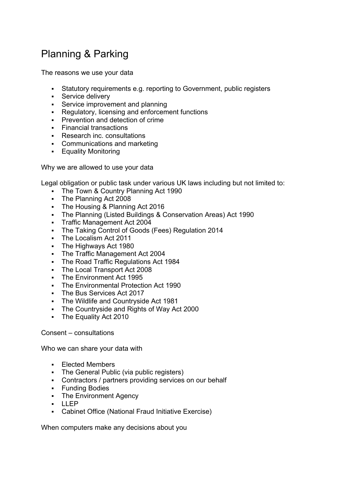## Planning & Parking

The reasons we use your data

- Statutory requirements e.g. reporting to Government, public registers
- **Service delivery**
- **Service improvement and planning**
- Regulatory, licensing and enforcement functions
- **Prevention and detection of crime**
- Financial transactions
- Research inc. consultations
- Communications and marketing
- **Equality Monitoring**

Why we are allowed to use your data

Legal obligation or public task under various UK laws including but not limited to:

- The Town & Country Planning Act 1990
- The Planning Act 2008
- The Housing & Planning Act 2016
- The Planning (Listed Buildings & Conservation Areas) Act 1990
- Traffic Management Act 2004
- The Taking Control of Goods (Fees) Regulation 2014
- The Localism Act 2011
- The Highways Act 1980
- The Traffic Management Act 2004
- **The Road Traffic Regulations Act 1984**
- The Local Transport Act 2008
- **The Environment Act 1995**
- The Environmental Protection Act 1990
- **The Bus Services Act 2017**
- The Wildlife and Countryside Act 1981
- **The Countryside and Rights of Way Act 2000**
- The Equality Act 2010

## Consent – consultations

Who we can share your data with

- Elected Members
- The General Public (via public registers)
- Contractors / partners providing services on our behalf
- **-** Funding Bodies
- **The Environment Agency**
- $\blacksquare$
- Cabinet Office (National Fraud Initiative Exercise)

When computers make any decisions about you